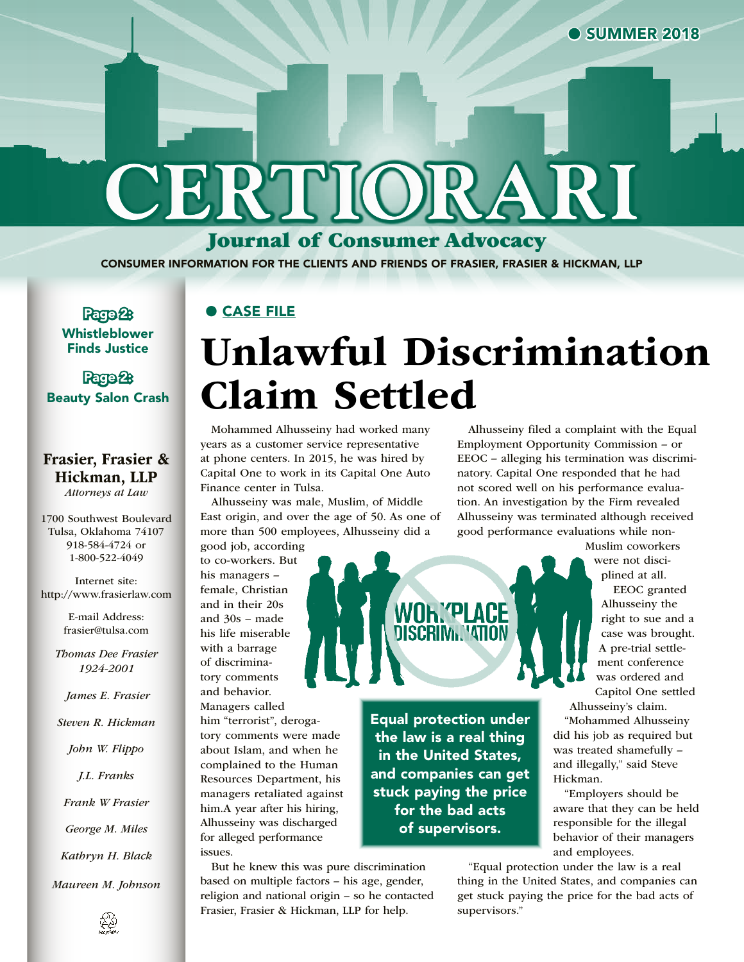# **CERTIORARI**

Journal of Consumer Advocacy

CONSUMER INFORMATION FOR THE CLIENTS AND FRIENDS OF FRASIER, FRASIER & HICKMAN, LLP

Page 2: Whistleblower Finds Justice

#### Page 2: Beauty Salon Crash

#### Frasier, Frasier & Hickman, LLP *Attorneys at Law*

1700 Southwest Boulevard Tulsa, Oklahoma 74107 918-584-4724 or 1-800-522-4049

Internet site: http://www.frasierlaw.com

> E-mail Address: frasier@tulsa.com

*Thomas Dee Frasier 1924-2001*

 *James E. Frasier*

*Steven R. Hickman*

*John W. Flippo*

*J.L. Franks*

*Frank W Frasier*

*George M. Miles*

*Kathryn H. Black*

*Maureen M. Johnson*

# Unlawful Discrimination Claim Settled

Equal protection under the law is a real thing in the United States, and companies can get stuck paying the price for the bad acts of supervisors.

**WOh. PLACE DISCRIM VATION** 

Mohammed Alhusseiny had worked many years as a customer service representative at phone centers. In 2015, he was hired by Capital One to work in its Capital One Auto Finance center in Tulsa.

Alhusseiny was male, Muslim, of Middle East origin, and over the age of 50. As one of more than 500 employees, Alhusseiny did a

good job, according to co-workers. But his managers –

● CASE FILE

female, Christian and in their 20s and 30s – made his life miserable with a barrage of discriminatory comments and behavior. Managers called him "terrorist", derogatory comments were made about Islam, and when he complained to the Human Resources Department, his managers retaliated against him.A year after his hiring, Alhusseiny was discharged for alleged performance issues.

But he knew this was pure discrimination based on multiple factors – his age, gender, religion and national origin – so he contacted Frasier, Frasier & Hickman, LLP for help.

Alhusseiny filed a complaint with the Equal Employment Opportunity Commission – or EEOC – alleging his termination was discriminatory. Capital One responded that he had not scored well on his performance evaluation. An investigation by the Firm revealed Alhusseiny was terminated although received good performance evaluations while non-

> Muslim coworkers were not disciplined at all.

> > EEOC granted Alhusseiny the right to sue and a case was brought. A pre-trial settlement conference was ordered and Capitol One settled

Alhusseiny's claim.

"Mohammed Alhusseiny did his job as required but was treated shamefully – and illegally," said Steve Hickman.

"Employers should be aware that they can be held responsible for the illegal behavior of their managers and employees.

"Equal protection under the law is a real thing in the United States, and companies can get stuck paying the price for the bad acts of supervisors."

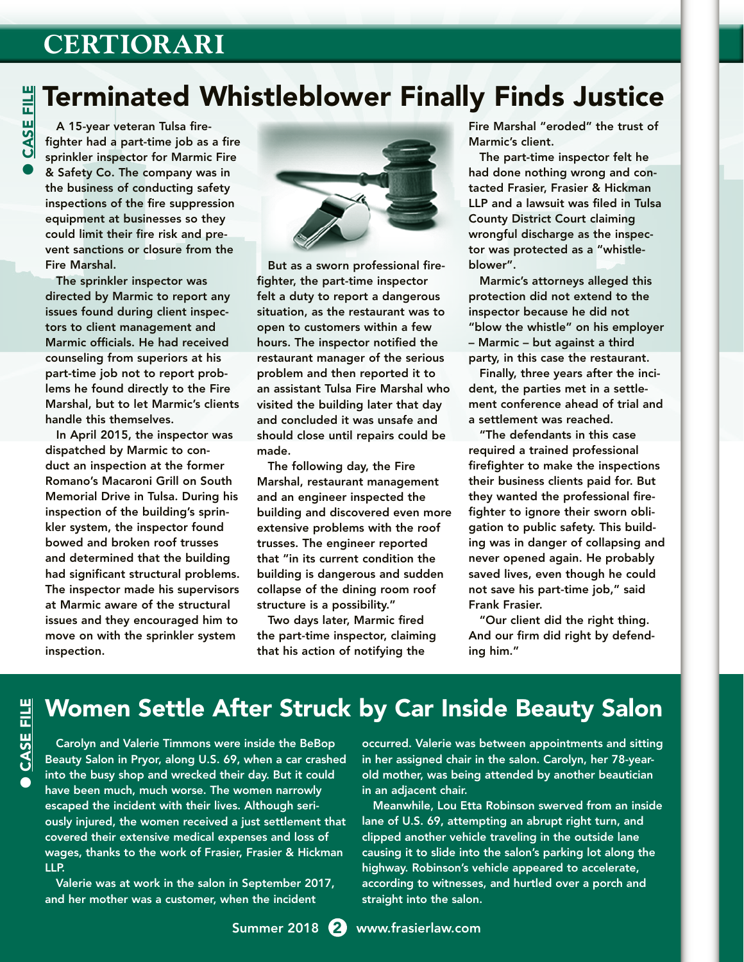# **CERTIORARI**

# Terminated Whistleblower Finally Finds Justice

A 15-year veteran Tulsa firefighter had a part-time job as a fire sprinkler inspector for Marmic Fire & Safety Co. The company was in the business of conducting safety inspections of the fire suppression equipment at businesses so they could limit their fire risk and prevent sanctions or closure from the Fire Marshal.

The sprinkler inspector was directed by Marmic to report any issues found during client inspectors to client management and Marmic officials. He had received counseling from superiors at his part-time job not to report problems he found directly to the Fire Marshal, but to let Marmic's clients handle this themselves.

In April 2015, the inspector was dispatched by Marmic to conduct an inspection at the former Romano's Macaroni Grill on South Memorial Drive in Tulsa. During his inspection of the building's sprinkler system, the inspector found bowed and broken roof trusses and determined that the building had significant structural problems. The inspector made his supervisors at Marmic aware of the structural issues and they encouraged him to move on with the sprinkler system inspection.



But as a sworn professional firefighter, the part-time inspector felt a duty to report a dangerous situation, as the restaurant was to open to customers within a few hours. The inspector notified the restaurant manager of the serious problem and then reported it to an assistant Tulsa Fire Marshal who visited the building later that day and concluded it was unsafe and should close until repairs could be made.

The following day, the Fire Marshal, restaurant management and an engineer inspected the building and discovered even more extensive problems with the roof trusses. The engineer reported that "in its current condition the building is dangerous and sudden collapse of the dining room roof structure is a possibility."

Two days later, Marmic fired the part-time inspector, claiming that his action of notifying the

Fire Marshal "eroded" the trust of Marmic's client.

The part-time inspector felt he had done nothing wrong and contacted Frasier, Frasier & Hickman LLP and a lawsuit was filed in Tulsa County District Court claiming wrongful discharge as the inspector was protected as a "whistleblower".

Marmic's attorneys alleged this protection did not extend to the inspector because he did not "blow the whistle" on his employer – Marmic – but against a third party, in this case the restaurant.

Finally, three years after the incident, the parties met in a settlement conference ahead of trial and a settlement was reached.

"The defendants in this case required a trained professional firefighter to make the inspections their business clients paid for. But they wanted the professional firefighter to ignore their sworn obligation to public safety. This building was in danger of collapsing and never opened again. He probably saved lives, even though he could not save his part-time job," said Frank Frasier.

"Our client did the right thing. And our firm did right by defending him."

### Women Settle After Struck by Car Inside Beauty Salon

Carolyn and Valerie Timmons were inside the BeBop Beauty Salon in Pryor, along U.S. 69, when a car crashed into the busy shop and wrecked their day. But it could have been much, much worse. The women narrowly escaped the incident with their lives. Although seriously injured, the women received a just settlement that covered their extensive medical expenses and loss of wages, thanks to the work of Frasier, Frasier & Hickman LLP.

Valerie was at work in the salon in September 2017, and her mother was a customer, when the incident

occurred. Valerie was between appointments and sitting in her assigned chair in the salon. Carolyn, her 78-yearold mother, was being attended by another beautician in an adjacent chair.

Meanwhile, Lou Etta Robinson swerved from an inside lane of U.S. 69, attempting an abrupt right turn, and clipped another vehicle traveling in the outside lane causing it to slide into the salon's parking lot along the highway. Robinson's vehicle appeared to accelerate, according to witnesses, and hurtled over a porch and straight into the salon.

●

CASE FILE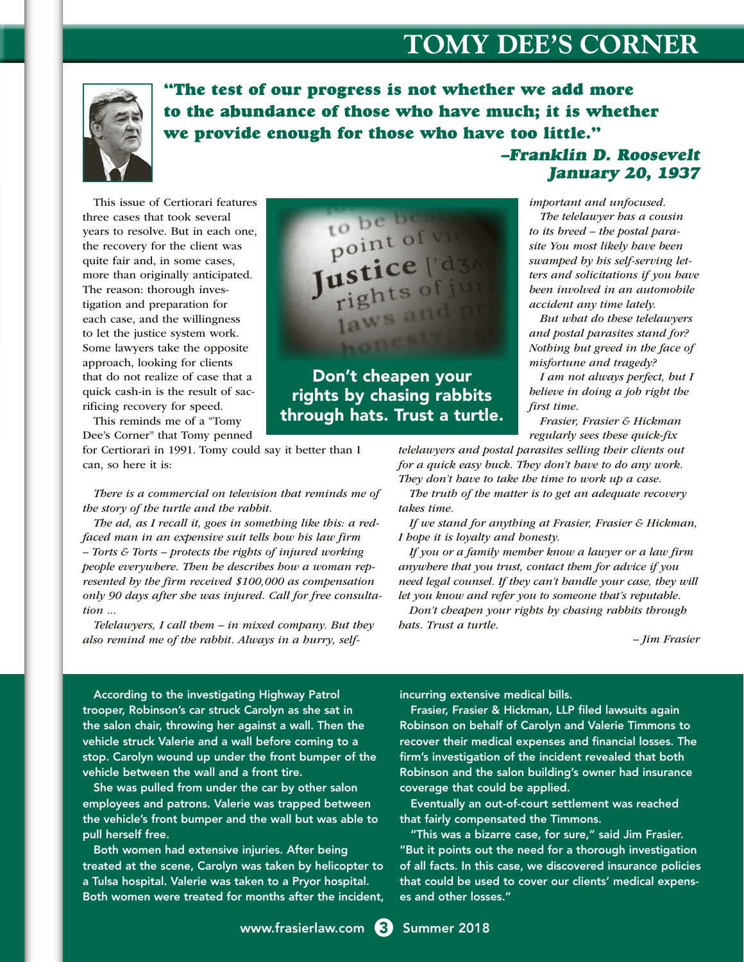# **TOMY DEE'S CORNER**



"The test of our progress is not whether we add more to the abundance of those who have much; it is whether we provide enough for those who have too little."

This issue of Certiorari features three cases that took several years to resolve. But in each one, the recovery for the client was quite fair and, in some cases, more than originally anticipated. The reason: thorough investigation and preparation for each case, and the willingness to let the justice system work. Some lawyers take the opposite approach, looking for clients that do not realize of case that a quick cash-in is the result of sacrificing recovery for speed.

This reminds me of a "Tomy Dee's Corner" that Tomy penned

for Certiorari in 1991. Tomy could say it better than I can, so here it is:

*There is a commercial on television that reminds me of the story of the turtle and the rabbit.*

*The ad, as I recall it, goes in something like this: a redfaced man in an expensive suit tells how his law firm – Torts & Torts – protects the rights of injured working people everywhere. Then he describes how a woman represented by the firm received \$100,000 as compensation only 90 days after she was injured. Call for free consultation ...*

*Telelawyers, I call them – in mixed company. But they also remind me of the rabbit. Always in a hurry, self-*



Don't cheapen your rights by chasing rabbits through hats. Trust a turtle.

–Franklin D. Roosevelt January 20, 1937

*important and unfocused.*

*The telelawyer has a cousin to its breed – the postal parasite You most likely have been swamped by his self-serving letters and solicitations if you have been involved in an automobile accident any time lately.* 

*But what do these telelawyers and postal parasites stand for? Nothing but greed in the face of misfortune and tragedy?*

*I am not always perfect, but I believe in doing a job right the first time.*

*Frasier, Frasier & Hickman regularly sees these quick-fix* 

*telelawyers and postal parasites selling their clients out for a quick easy buck. They don't have to do any work. They don't have to take the time to work up a case.*

*The truth of the matter is to get an adequate recovery takes time.*

*If we stand for anything at Frasier, Frasier & Hickman, I hope it is loyalty and honesty.*

*If you or a family member know a lawyer or a law firm anywhere that you trust, contact them for advice if you need legal counsel. If they can't handle your case, they will let you know and refer you to someone that's reputable.*

*Don't cheapen your rights by chasing rabbits through hats. Trust a turtle.*

 *– Jim Frasier*

According to the investigating Highway Patrol trooper, Robinson's car struck Carolyn as she sat in the salon chair, throwing her against a wall. Then the vehicle struck Valerie and a wall before coming to a stop. Carolyn wound up under the front bumper of the vehicle between the wall and a front tire.

She was pulled from under the car by other salon employees and patrons. Valerie was trapped between the vehicle's front bumper and the wall but was able to pull herself free.

Both women had extensive injuries. After being treated at the scene, Carolyn was taken by helicopter to a Tulsa hospital. Valerie was taken to a Pryor hospital. Both women were treated for months after the incident, incurring extensive medical bills.

Frasier, Frasier & Hickman, LLP filed lawsuits again Robinson on behalf of Carolyn and Valerie Timmons to recover their medical expenses and financial losses. The firm's investigation of the incident revealed that both Robinson and the salon building's owner had insurance coverage that could be applied.

Eventually an out-of-court settlement was reached that fairly compensated the Timmons.

"This was a bizarre case, for sure," said Jim Frasier. "But it points out the need for a thorough investigation of all facts. In this case, we discovered insurance policies that could be used to cover our clients' medical expenses and other losses."